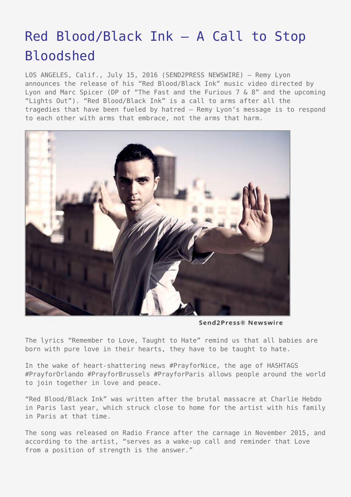## [Red Blood/Black Ink – A Call to Stop](https://www.send2press.com/wire/red-bloodblack-ink-a-call-to-stop-bloodshed/) [Bloodshed](https://www.send2press.com/wire/red-bloodblack-ink-a-call-to-stop-bloodshed/)

LOS ANGELES, Calif., July 15, 2016 (SEND2PRESS NEWSWIRE) — Remy Lyon announces the release of his "Red Blood/Black Ink" music video directed by Lyon and Marc Spicer (DP of "The Fast and the Furious 7 & 8" and the upcoming "Lights Out"). "Red Blood/Black Ink" is a call to arms after all the tragedies that have been fueled by hatred – Remy Lyon's message is to respond to each other with arms that embrace, not the arms that harm.



Send2Press® Newswire

The lyrics "Remember to Love, Taught to Hate" remind us that all babies are born with pure love in their hearts, they have to be taught to hate.

In the wake of heart-shattering news #PrayforNice, the age of HASHTAGS #PrayforOrlando #PrayforBrussels #PrayforParis allows people around the world to join together in love and peace.

"Red Blood/Black Ink" was written after the brutal massacre at Charlie Hebdo in Paris last year, which struck close to home for the artist with his family in Paris at that time.

The song was released on Radio France after the carnage in November 2015, and according to the artist, "serves as a wake-up call and reminder that Love from a position of strength is the answer."